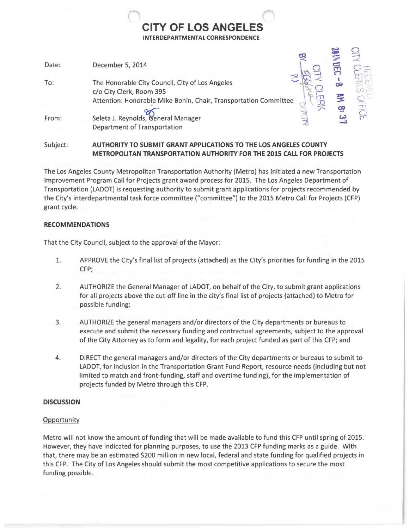# CITY OF LOS ANGELES INTERDEPARTMENTAL CORRESPONDENCE

J

 $\circ$ 

| Date: | December 5, 2014                                                                                                                                |  |
|-------|-------------------------------------------------------------------------------------------------------------------------------------------------|--|
| To:   | The Honorable City Council, City of Los Angeles<br>c/o City Clerk, Room 395<br>Attention: Honorable Mike Bonin, Chair, Transportation Committee |  |
| From: | Seleta J. Reynolds, General Manager<br><b>Department of Transportation</b>                                                                      |  |
|       |                                                                                                                                                 |  |

Subject: AUTHORITY TO SUBMIT GRANT APPLICATIONS TO THE LOS ANGELES COUNTY METROPOLITAN TRANSPORTATION AUTHORITY FOR THE 2015 CALL FOR PROJECTS

The Los Angeles County Metropolitan Transportation Authority (Metro) has initiated a new Transportation Improvement Program Call for Projects grant award process for 2015. The Los Angeles Department of Transportation (LADOT) is requesting authority to submit grant applications for projects recommended by the City's interdepartmental task force committee ("committee") to the 2015 Metro Call for Projects (CFP) grant cycle.

## RECOMMENDATIONS

That the City Council, subject to the approval of the Mayor:

- 1. APPROVE the City's final list of projects (attached) as the City's priorities for funding in the 2015 CFP;
- 2. AUTHORIZE the General Manager of LADOT, on behalf of the City, to submit grant applications for all projects above the cut-off line in the city's final list of projects (attached) to Metro for possible funding;
- 3. AUTHORIZE the general managers and/or directors of the City departments or bureaus to execute and submit the necessary funding and contractual agreements, subject to the approval of the City Attorney as to form and legality, for each project funded as part of this CFP; and
- 4. DIRECT the general managers and/or directors of the City departments or bureaus to submit to LADOT, for inclusion in the Transportation Grant Fund Report, resource needs (including but not limited to match and front-funding, staff and overtime funding), for the implementation of projects funded by Metro through this CFP.

# **DISCUSSION**

# **Opportunity**

Metro will not know the amount of funding that will be made available to fund this CFP until spring of 2015. However, they have indicated for planning purposes, to use the 2013 CFP funding marks as a guide. With that, there may be an estimated \$200 million in new local, federal and state funding for qualified projects in this CFP. The City of Los Angeles should submit the most competitive applications to secure the most funding possible.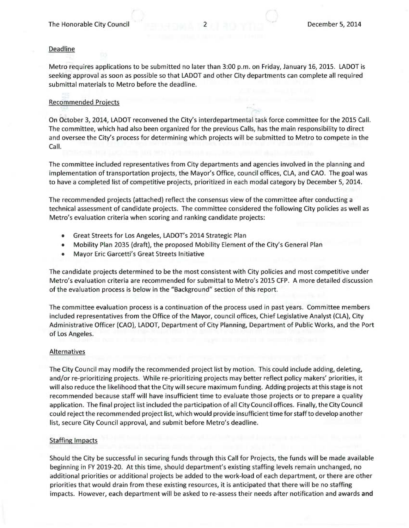#### Deadline

Metro requires applications to be submitted no later than 3:00 p.m. on Friday, January 16, 2015. LADOT is seeking approval as soon as possible so that LADOT and other City departments can complete all required submittal materials to Metro before the deadline.

#### Recommended Projects

On October 3, 2014, LADOT reconvened the City's interdepartmental task force committee for the 2015 Call. The committee, which had also been organized for the previous Calls, has the main responsibility to direct and oversee the City's process for determining which projects will be submitted to Metro to compete in the Call.

The committee included representatives from City departments and agencies involved in the planning and implementation of transportation projects, the Mayor's Office, council offices, CLA, and CAO. The goal was to have a completed list of competitive projects, prioritized in each modal category by December 5, 2014.

The recommended projects (attached) reflect the consensus view of the committee after conducting a technical assessment of candidate projects. The committee considered the following City policies as well as Metro's evaluation criteria when scoring and ranking candidate projects:

- Great Streets for Los Angeles, LADOT's 2014 Strategic Plan
- Mobility Plan 2035 (draft), the proposed Mobility Element of the City's General Plan
- Mayor Eric Garcetti's Great Streets Initiative

The candidate projects determined to be the most consistent with City policies and most competitive under Metro's evaluation criteria are recommended for submittal to Metro's 2015 CFP. A more detailed discussion of the evaluation process is below in the "Background" section of this report.

The committee evaluation process is a continuation of the process used in past years. Committee members included representatives from the Office of the Mayor, council offices, Chief Legislative Analyst (CLA), City Administrative Officer (CAO), LADOT, Department of City Planning, Department of Public Works, and the Port of Los Angeles.

#### **Alternatives**

The City Council may modify the recommended project list by motion. This could include adding, deleting, and/or re-prioritizing projects. While re-prioritizing projects may better reflect policy makers' priorities, it will also reduce the likelihood that the City will secure maximum funding. Adding projects at this stage is not recommended because staff will have insufficient time to evaluate those projects or to prepare a quality application. The final project list included the participation of all City Council offices. Finally, the City Council could reject the recommended project list, which would provide insufficient time for staff to develop another list, secure City Council approval, and submit before Metro's deadline.

#### Staffing Impacts

Should the City be successful in securing funds through this Call for Projects, the funds will be made available beginning in FY 2019-20. At this time, should department's existing staffing levels remain unchanged, no additional priorities or additional projects be added to the work-load of each department, or there are other priorities that would drain from these existing resources, it is anticipated that there will be no staffing impacts. However, each department will be asked to re-assess their needs after notification and awards and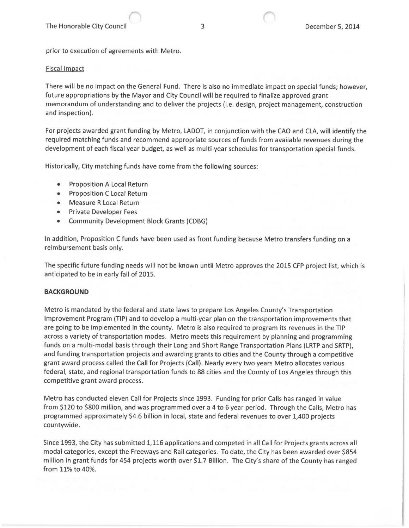prior to execution of agreements with Metro.

#### Fiscal Impact

There will be no impact on the General Fund. There is also no immediate impact on special funds; however, future appropriations by the Mayor and City Council will be required to finalize approved grant memorandum of understanding and to deliver the projects (i.e. design, project management, construction and inspection).

For projects awarded grant funding by Metro, LADOT, in conjunction with the CAO and CLA, will identify the required matching funds and recommend appropriate sources of funds from available revenues during the development of each fiscal year budget, as well as multi-year schedules for transportation special funds.

Historically, City matching funds have come from the following sources:

- Proposition A Local Return
- Proposition C Local Return
- Measure R Local Return
- Private Developer Fees
- Community Development Block Grants (CDBG)

In addition, Proposition C funds have been used as front funding because Metro transfers funding on a reimbursement basis only.

The specific future funding needs will not be known until Metro approves the 2015 CFP project list, which is anticipated to be in early fall of 2015.

## BACKGROUND

Metro is mandated by the federal and state laws to prepare Los Angeles County's Transportation Improvement Program (TIP) and to develop a multi-year plan on the transportation improvements that are going to be implemented in the county. Metro is also required to program its revenues in the TIP across a variety of transportation modes. Metro meets this requirement by planning and programming funds on a multi-modal basis through their Long and Short Range Transportation Plans (LRTP and SRTP), and funding transportation projects and awarding grants to cities and the County through a competitive grant award process called the Call for Projects (Call). Nearly every two years Metro allocates various federal, state, and regional transportation funds to 88 cities and the County of Los Angeles through this competitive grant award process.

Metro has conducted eleven Call for Projects since 1993. Funding for prior Calls has ranged in value from \$120 to \$800 million, and was programmed over a 4 to 6 year period. Through the Calls, Metro has programmed approximately \$4.6 billion in local, state and federal revenues to over 1,400 projects countywide.

Since 1993, the City has submitted 1,116 applications and competed in all Call for Projects grants across all modal categories, except the Freeways and Rail categories. To date, the City has been awarded over \$854 million in grant funds for 454 projects worth over \$1.7 Billion. The City's share of the County has ranged from 11% to 40%.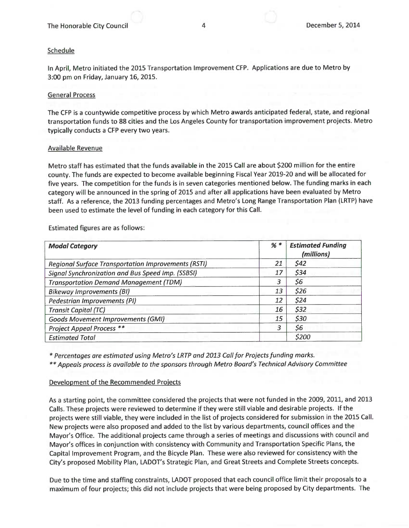### Schedule

In April, Metro initiated the 2015 Transportation Improvement CFP. Applications are due to Metro by 3:00 pm on Friday, January 16, 2015.

#### General Process

The CFP is a countywide competitive process by which Metro awards anticipated federal, state, and regional transportation funds to 88 cities and the Los Angeles County for transportation improvement projects. Metro typically conducts a CFP every two years.

#### Available Revenue

Metro staff has estimated that the funds available in the 2015 Call are about \$200 million for the entire county. The funds are expected to become available beginning Fiscal Year 2019-20 and will be allocated for five years. The competition for the funds is in seven categories mentioned below. The funding marks in each category will be announced in the spring of 2015 and after all applications have been evaluated by Metro staff. As a reference, the 2013 funding percentages and Metro's Long Range Transportation Plan (LRTP) have been used to estimate the level of funding in each category for this Call.

| <b>Modal Category</b>                                      | $%$ * | <b>Estimated Funding</b><br>(millions) |  |
|------------------------------------------------------------|-------|----------------------------------------|--|
| <b>Regional Surface Transportation Improvements (RSTI)</b> | 21    | \$42                                   |  |
| Signal Synchronization and Bus Speed Imp. (SSBSI)          | 17    | \$34                                   |  |
| <b>Transportation Demand Management (TDM)</b>              | 3     | \$6                                    |  |
| <b>Bikeway Improvements (BI)</b>                           | 13    | \$26                                   |  |
| Pedestrian Improvements (PI)                               | 12    | \$24                                   |  |
| <b>Transit Capital (TC)</b>                                | 16    | \$32                                   |  |
| <b>Goods Movement Improvements (GMI)</b>                   | 15    | \$30                                   |  |
| <b>Project Appeal Process **</b>                           | 3     | \$6                                    |  |
| <b>Estimated Total</b>                                     |       | \$200                                  |  |

Estimated figures are as follows:

\* Percentages are estimated using Metro's LRTP and 2013 Call for Projects funding marks.

\*\* Appeals process is available to the sponsors through Metro Board's Technical Advisory Committee

## Development of the Recommended Projects

As a starting point, the committee considered the projects that were not funded in the 2009, 2011, and 2013 Calls. These projects were reviewed to determine if they were still viable and desirable projects. If the projects were still viable, they were included in the list of projects considered for submission in the 2015 Call. New projects were also proposed and added to the list by various departments, council offices and the Mayor's Office. The additional projects came through a series of meetings and discussions with council and Mayor's offices in conjunction with consistency with Community and Transportation Specific Plans, the Capital Improvement Program, and the Bicycle Plan. These were also reviewed for consistency with the City's proposed Mobility Plan, LADOT's Strategic Plan, and Great Streets and Complete Streets concepts.

Due to the time and staffing constraints, LADOT proposed that each council office limit their proposals to a maximum of four projects; this did not include projects that were being proposed by City departments. The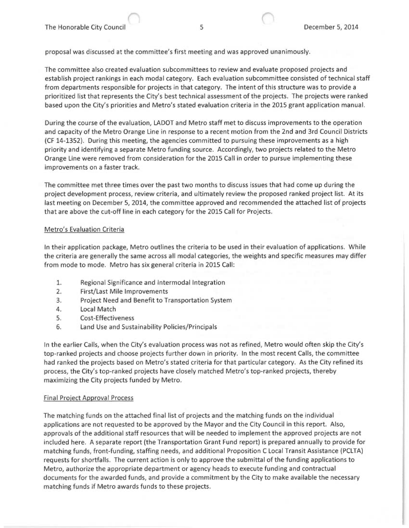proposal was discussed at the committee's first meeting and was approved unanimously.

The committee also created evaluation subcommittees to review and evaluate proposed projects and establish project rankings in each modal category. Each evaluation subcommittee consisted of technical staff from departments responsible for projects in that category. The intent of this structure was to provide a prioritized list that represents the City's best technical assessment of the projects. The projects were ranked based upon the City's priorities and Metro's stated evaluation criteria in the 2015 grant application manual.

During the course of the evaluation, LADOT and Metro staff met to discuss improvements to the operation and capacity of the Metro Orange Line in response to a recent motion from the 2nd and 3rd Council Districts (CF 14-1352). During this meeting, the agencies committed to pursuing these improvements as a high priority and identifying a separate Metro funding source. Accordingly, two projects related to the Metro Orange Line were removed from consideration for the 2015 Call in order to pursue implementing these improvements on a faster track.

The committee met three times over the past two months to discuss issues that had come up during the project development process, review criteria, and ultimately review the proposed ranked project list. At its last meeting on December 5, 2014, the committee approved and recommended the attached list of projects that are above the cut-off line in each category for the 2015 Call for Projects.

## Metro's Evaluation Criteria

In their application package, Metro outlines the criteria to be used in their evaluation of applications. While the criteria are generally the same across all modal categories, the weights and specific measures may differ from mode to mode. Metro has six general criteria in 2015 Call:

- 1. Regional Significance and Intermodal Integration
- 2. First/Last Mile Improvements
- 3. Project Need and Benefit to Transportation System
- 4. Local Match
- 5. Cost-Effectiveness
- 6. Land Use and Sustainability Policies/Principals

In the earlier Calls, when the City's evaluation process was not as refined, Metro would often skip the City's top-ranked projects and choose projects further down in priority. In the most recent Calls, the committee had ranked the projects based on Metro's stated criteria for that particular category. As the City refined its process, the City's top-ranked projects have closely matched Metro's top-ranked projects, thereby maximizing the City projects funded by Metro.

## Final Project Approval Process

The matching funds on the attached final list of projects and the matching funds on the individual applications are not requested to be approved by the Mayor and the City Council in this report. Also, approvals of the additional staff resources that will be needed to implement the approved projects are not included here. A separate report (the Transportation Grant Fund report) is prepared annually to provide for matching funds, front-funding, staffing needs, and additional Proposition C Local Transit Assistance (PCLTA) requests for shortfalls. The current action is only to approve the submittal of the funding applications to Metro, authorize the appropriate department or agency heads to execute funding and contractual documents for the awarded funds, and provide a commitment by the City to make available the necessary matching funds if Metro awards funds to these projects.